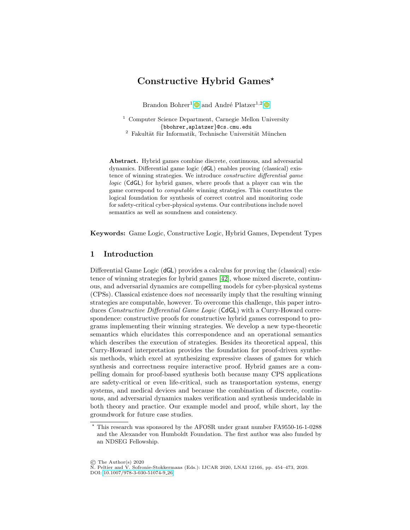# <span id="page-0-0"></span>Constructive Hybrid Games\*

Brandon Bohrer<sup>1</sup>  $\bullet$  and André Platzer<sup>1,2</sup>  $\bullet$ 

<sup>1</sup> Computer Science Department, Carnegie Mellon University {bbohrer,aplatzer}@cs.cmu.edu  $^{\rm 2}$  Fakultät für Informatik, Technische Universität München

Abstract. Hybrid games combine discrete, continuous, and adversarial dynamics. Differential game logic (dGL) enables proving (classical) existence of winning strategies. We introduce constructive differential game logic (CdGL) for hybrid games, where proofs that a player can win the game correspond to computable winning strategies. This constitutes the logical foundation for synthesis of correct control and monitoring code for safety-critical cyber-physical systems. Our contributions include novel semantics as well as soundness and consistency.

Keywords: Game Logic, Constructive Logic, Hybrid Games, Dependent Types

# 1 Introduction

Differential Game Logic (dGL) provides a calculus for proving the (classical) existence of winning strategies for hybrid games [\[42\]](#page-18-0), whose mixed discrete, continuous, and adversarial dynamics are compelling models for cyber-physical systems (CPSs). Classical existence does not necessarily imply that the resulting winning strategies are computable, however. To overcome this challenge, this paper introduces Constructive Differential Game Logic (CdGL) with a Curry-Howard correspondence: constructive proofs for constructive hybrid games correspond to programs implementing their winning strategies. We develop a new type-theoretic semantics which elucidates this correspondence and an operational semantics which describes the execution of strategies. Besides its theoretical appeal, this Curry-Howard interpretation provides the foundation for proof-driven synthesis methods, which excel at synthesizing expressive classes of games for which synthesis and correctness require interactive proof. Hybrid games are a compelling domain for proof-based synthesis both because many CPS applications are safety-critical or even life-critical, such as transportation systems, energy systems, and medical devices and because the combination of discrete, continuous, and adversarial dynamics makes verification and synthesis undecidable in both theory and practice. Our example model and proof, while short, lay the groundwork for future case studies.

<sup>?</sup> This research was sponsored by the AFOSR under grant number FA9550-16-1-0288 and the Alexander von Humboldt Foundation. The first author was also funded by an NDSEG Fellowship.

<sup>©</sup> The Author(s) 2020 N. Peltier and V. Sofronie-Stokkermans (Eds.): IJCAR 2020, LNAI 12166, pp. 454–473, 2020. DOI: [10.1007/978-3-030-51074-9](https://doi.org/10.1007/978-3-030-51074-9_26) 26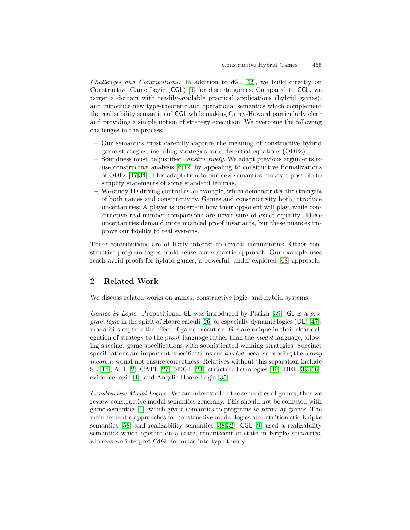*Challenges and Contributions.* In addition to  $dGL$  [\[42\]](#page-18-0), we build directly on Constructive Game Logic (CGL) [\[9\]](#page-16-0) for discrete games. Compared to CGL, we target a domain with readily-available practical applications (hybrid games), and introduce new type-theoretic and operational semantics which complement the realizability semantics of CGL while making Curry-Howard particularly clear and providing a simple notion of strategy execution. We overcome the following challenges in the process:

- Our semantics must carefully capture the meaning of constructive hybrid game strategies, including strategies for differential equations (ODEs).
- Soundness must be justified constructively. We adapt previous arguments to use constructive analysis [\[6](#page-16-1)[,12\]](#page-16-2) by appealing to constructive formalizations of ODEs [\[17,](#page-16-3)[34\]](#page-17-0). This adaptation to our new semantics makes it possible to simplify statements of some standard lemmas.
- We study 1D driving control as an example, which demonstrates the strengths of both games and constructivity. Games and constructivity both introduce uncertainties: A player is uncertain how their opponent will play, while constructive real-number comparisons are never sure of exact equality. These uncertainties demand more nuanced proof invariants, but these nuances improve our fidelity to real systems.

These contributions are of likely interest to several communities. Other constructive program logics could reuse our semantic approach. Our example uses reach-avoid proofs for hybrid games, a powerful, under-explored [\[48\]](#page-18-1) approach.

# 2 Related Work

We discuss related works on games, constructive logic, and hybrid systems.

Games in Logic. Propositional GL was introduced by Parikh [\[39\]](#page-18-2). GL is a pro*gram logic* in the spirit of Hoare calculi [\[26\]](#page-17-1) or especially dynamic logics  $(DL)$  [\[47\]](#page-18-3): modalities capture the effect of game execution. GLs are unique in their clear delegation of strategy to the *proof* language rather than the *model* language, allowing succinct game specifications with sophisticated winning strategies. Succinct specifications are important: specifications are *trusted* because proving the *wrong* theorem would not ensure correctness. Relatives without this separation include SL [\[14\]](#page-16-4), ATL [\[2\]](#page-16-5), CATL [\[27\]](#page-17-2), SDGL [\[23\]](#page-17-3), structured strategies [\[49\]](#page-18-4), DEL [\[3,](#page-16-6)[5,](#page-16-7)[56\]](#page-18-5), evidence logic [\[4\]](#page-16-8), and Angelic Hoare Logic [\[35\]](#page-17-4).

Constructive Modal Logics. We are interested in the semantics of games, thus we review constructive modal semantics generally. This should not be confused with game semantics [\[1\]](#page-16-9), which give a semantics to programs in terms of games. The main semantic approaches for constructive modal logics are intuitionistic Kripke semantics [\[58\]](#page-19-0) and realizability semantics [\[38,](#page-18-6)[32\]](#page-17-5). CGL [\[9\]](#page-16-0) used a realizability semantics which operate on a state, reminiscent of state in Kripke semantics, whereas we interpret CdGL formulas into type theory.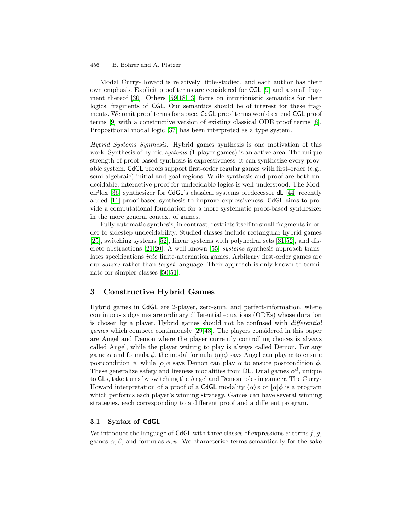Modal Curry-Howard is relatively little-studied, and each author has their own emphasis. Explicit proof terms are considered for CGL [\[9\]](#page-16-0) and a small fragment thereof [\[30\]](#page-17-6). Others [\[59](#page-19-1)[,18,](#page-16-10)[13\]](#page-16-11) focus on intuitionistic semantics for their logics, fragments of CGL. Our semantics should be of interest for these fragments. We omit proof terms for space. CdGL proof terms would extend CGL proof terms [\[9\]](#page-16-0) with a constructive version of existing classical ODE proof terms [\[8\]](#page-16-12). Propositional modal logic [\[37\]](#page-18-7) has been interpreted as a type system.

Hybrid Systems Synthesis. Hybrid games synthesis is one motivation of this work. Synthesis of hybrid *systems* (1-player games) is an active area. The unique strength of proof-based synthesis is expressiveness: it can synthesize every provable system. CdGL proofs support first-order regular games with first-order (e.g., semi-algebraic) initial and goal regions. While synthesis and proof are both undecidable, interactive proof for undecidable logics is well-understood. The ModelPlex [\[36\]](#page-17-7) synthesizer for CdGL's classical systems predecessor dL [\[44\]](#page-18-8) recently added [\[11\]](#page-16-13) proof-based synthesis to improve expressiveness. CdGL aims to provide a computational foundation for a more systematic proof-based synthesizer in the more general context of games.

Fully automatic synthesis, in contrast, restricts itself to small fragments in order to sidestep undecidability. Studied classes include rectangular hybrid games [\[25\]](#page-17-8), switching systems [\[52\]](#page-18-9), linear systems with polyhedral sets [\[31,](#page-17-9)[52\]](#page-18-9), and discrete abstractions [\[21](#page-17-10)[,20\]](#page-17-11). A well-known [\[55\]](#page-18-10) systems synthesis approach translates specifications into finite-alternation games. Arbitrary first-order games are our source rather than target language. Their approach is only known to terminate for simpler classes [\[50,](#page-18-11)[51\]](#page-18-12).

### 3 Constructive Hybrid Games

Hybrid games in CdGL are 2-player, zero-sum, and perfect-information, where continuous subgames are ordinary differential equations (ODEs) whose duration is chosen by a player. Hybrid games should not be confused with differential games which compete continuously [\[29,](#page-17-12)[43\]](#page-18-13). The players considered in this paper are Angel and Demon where the player currently controlling choices is always called Angel, while the player waiting to play is always called Demon. For any game  $\alpha$  and formula  $\phi$ , the modal formula  $\langle \alpha \rangle \phi$  says Angel can play  $\alpha$  to ensure postcondition  $\phi$ , while  $\alpha | \phi \rangle$  says Demon can play  $\alpha$  to ensure postcondition  $\phi$ . These generalize safety and liveness modalities from DL. Dual games  $\alpha^d$ , unique to GLs, take turns by switching the Angel and Demon roles in game  $\alpha$ . The Curry-Howard interpretation of a proof of a CdGL modality  $\langle \alpha \rangle \phi$  or  $[\alpha] \phi$  is a program which performs each player's winning strategy. Games can have several winning strategies, each corresponding to a different proof and a different program.

### 3.1 Syntax of CdGL

We introduce the language of CdGL with three classes of expressions  $e$ : terms  $f, g$ , games  $\alpha, \beta$ , and formulas  $\phi, \psi$ . We characterize terms semantically for the sake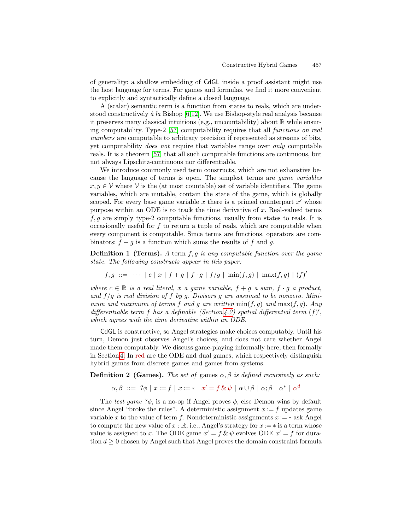of generality: a shallow embedding of CdGL inside a proof assistant might use the host language for terms. For games and formulas, we find it more convenient to explicitly and syntactically define a closed language.

A (scalar) semantic term is a function from states to reals, which are understood constructively  $\dot{a}$  la Bishop [\[6,](#page-16-1)[12\]](#page-16-2). We use Bishop-style real analysis because it preserves many classical intuitions (e.g., uncountability) about  $\mathbb R$  while ensuring computability. Type-2 [\[57\]](#page-19-2) computability requires that all functions on real numbers are computable to arbitrary precision if represented as streams of bits, yet computability does not require that variables range over only computable reals. It is a theorem [\[57\]](#page-19-2) that all such computable functions are continuous, but not always Lipschitz-continuous nor differentiable.

We introduce commonly used term constructs, which are not exhaustive because the language of terms is open. The simplest terms are game variables  $x, y \in V$  where V is the (at most countable) set of variable identifiers. The game variables, which are mutable, contain the state of the game, which is globally scoped. For every base game variable  $x$  there is a primed counterpart  $x'$  whose purpose within an ODE is to track the time derivative of  $x$ . Real-valued terms  $f, g$  are simply type-2 computable functions, usually from states to reals. It is occasionally useful for  $f$  to return a tuple of reals, which are computable when every component is computable. Since terms are functions, operators are combinators:  $f + g$  is a function which sums the results of f and g.

**Definition 1 (Terms).** A term  $f, g$  is any computable function over the game state. The following constructs appear in this paper:

$$
f,g ::= \cdots |c | x | f + g | f \cdot g | f/g | \min(f,g) | \max(f,g) | (f)'
$$

where  $c \in \mathbb{R}$  is a real literal, x a game variable,  $f + g$  a sum,  $f \cdot g$  a product, and  $f/g$  is real division of f by g. Divisors g are assumed to be nonzero. Minimum and maximum of terms f and g are written  $min(f, g)$  and  $max(f, g)$ . Any differentiable term f has a definable (Section [4.2\)](#page-7-0) spatial differential term  $(f)$ ', which agrees with the time derivative within an ODE.

CdGL is constructive, so Angel strategies make choices computably. Until his turn, Demon just observes Angel's choices, and does not care whether Angel made them computably. We discuss game-playing informally here, then formally in Section [4.](#page-6-0) In red are the ODE and dual games, which respectively distinguish hybrid games from discrete games and games from systems.

**Definition 2 (Games).** The set of games  $\alpha, \beta$  is defined recursively as such:

$$
\alpha, \beta \ ::= \ ?\phi \mid x := f \mid x := * \mid x' = f \& \ \psi \mid \alpha \cup \beta \mid \alpha; \beta \mid \alpha^* \mid \alpha^d
$$

The test game  $\partial \phi$ , is a no-op if Angel proves  $\phi$ , else Demon wins by default since Angel "broke the rules". A deterministic assignment  $x := f$  updates game variable x to the value of term f. Nondeterministic assignments  $x := *$  ask Angel to compute the new value of  $x : \mathbb{R}$ , i.e., Angel's strategy for  $x := *$  is a term whose value is assigned to x. The ODE game  $x' = f \& \psi$  evolves ODE  $x' = f$  for duration  $d \geq 0$  chosen by Angel such that Angel proves the domain constraint formula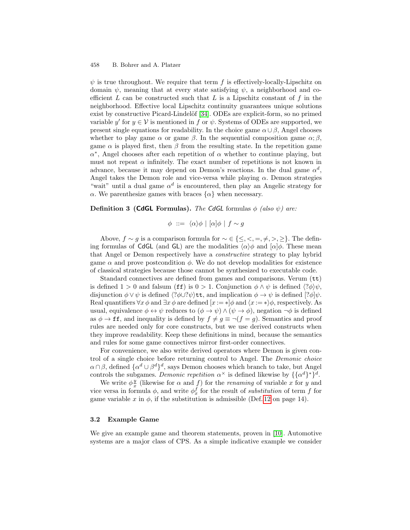$\psi$  is true throughout. We require that term f is effectively-locally-Lipschitz on domain  $\psi$ , meaning that at every state satisfying  $\psi$ , a neighborhood and coefficient  $L$  can be constructed such that  $L$  is a Lipschitz constant of  $f$  in the neighborhood. Effective local Lipschitz continuity guarantees unique solutions exist by constructive Picard-Lindelöf [\[34\]](#page-17-0). ODEs are explicit-form, so no primed variable y' for  $y \in V$  is mentioned in f or  $\psi$ . Systems of ODEs are supported, we present single equations for readability. In the choice game  $\alpha \cup \beta$ , Angel chooses whether to play game  $\alpha$  or game  $\beta$ . In the sequential composition game  $\alpha$ ;  $\beta$ , game  $\alpha$  is played first, then  $\beta$  from the resulting state. In the repetition game  $\alpha^*$ , Angel chooses after each repetition of  $\alpha$  whether to continue playing, but must not repeat  $\alpha$  infinitely. The exact number of repetitions is not known in advance, because it may depend on Demon's reactions. In the dual game  $\alpha^d$ , Angel takes the Demon role and vice-versa while playing  $\alpha$ . Demon strategies "wait" until a dual game  $\alpha^d$  is encountered, then play an Angelic strategy for  $\alpha$ . We parenthesize games with braces  $\{\alpha\}$  when necessary.

### **Definition 3 (CdGL Formulas).** The CdGL formulas  $\phi$  (also  $\psi$ ) are:

$$
\phi \ ::= \ \langle \alpha \rangle \phi \ | \ [\alpha] \phi \ | \ f \sim g
$$

Above,  $f \sim g$  is a comparison formula for  $\sim \in \{\leq, <, =, \neq, >, \geq\}.$  The defining formulas of CdGL (and GL) are the modalities  $\langle \alpha \rangle \phi$  and  $[\alpha] \phi$ . These mean that Angel or Demon respectively have a constructive strategy to play hybrid game  $\alpha$  and prove postcondition  $\phi$ . We do not develop modalities for existence of classical strategies because those cannot be synthesized to executable code.

Standard connectives are defined from games and comparisons. Verum (tt) is defined 1 > 0 and falsum (ff) is  $0 > 1$ . Conjunction  $\phi \wedge \psi$  is defined  $\langle ?\phi \rangle \psi$ , disjunction  $\phi \vee \psi$  is defined  $\langle ?\phi \cup ?\psi \rangle$ tt, and implication  $\phi \rightarrow \psi$  is defined  $[?\phi]\psi$ . Real quantifiers  $\forall x \phi$  and  $\exists x \phi$  are defined  $[x := *]\phi$  and  $\langle x := * \rangle \phi$ , respectively. As usual, equivalence  $\phi \leftrightarrow \psi$  reduces to  $(\phi \rightarrow \psi) \wedge (\psi \rightarrow \phi)$ , negation  $\neg \phi$  is defined as  $\phi \to \texttt{ff}$ , and inequality is defined by  $f \neq g \equiv \neg(f = g)$ . Semantics and proof rules are needed only for core constructs, but we use derived constructs when they improve readability. Keep these definitions in mind, because the semantics and rules for some game connectives mirror first-order connectives.

For convenience, we also write derived operators where Demon is given control of a single choice before returning control to Angel. The Demonic choice  $\alpha \cap \beta$ , defined  $\{\alpha^d \cup \beta^d\}^d$ , says Demon chooses which branch to take, but Angel controls the subgames. Demonic repetition  $\alpha^{\times}$  is defined likewise by  $\{\{\alpha^d\}^*\}^d$ .

We write  $\phi_x^y$  (likewise for  $\alpha$  and  $f$ ) for the *renaming* of variable x for y and vice versa in formula  $\phi$ , and write  $\phi_x^f$  for the result of *substitution* of term f for game variable x in  $\phi$ , if the substitution is admissible (Def. [12](#page-13-0) on page 14).

### 3.2 Example Game

We give an example game and theorem statements, proven in [\[10\]](#page-16-14). Automotive systems are a major class of CPS. As a simple indicative example we consider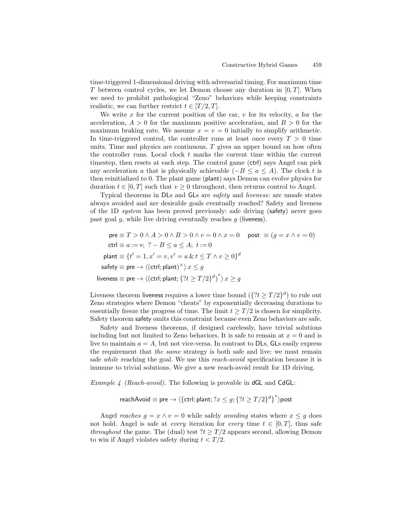time-triggered 1-dimensional driving with adversarial timing. For maximum time T between control cycles, we let Demon choose any duration in  $[0, T]$ . When we need to prohibit pathological "Zeno" behaviors while keeping constraints realistic, we can further restrict  $t \in [T/2, T]$ .

We write x for the current position of the car,  $v$  for its velocity,  $a$  for the acceleration,  $A > 0$  for the maximum positive acceleration, and  $B > 0$  for the maximum braking rate. We assume  $x = v = 0$  initially to simplify arithmetic. In time-triggered control, the controller runs at least once every  $T > 0$  time units. Time and physics are continuous,  $T$  gives an upper bound on how often the controller runs. Local clock  $t$  marks the current time within the current timestep, then resets at each step. The control game (ctrl) says Angel can pick any acceleration a that is physically achievable ( $-B \le a \le A$ ). The clock t is then reinitialized to 0. The plant game (plant) says Demon can evolve physics for duration  $t \in [0, T]$  such that  $v \geq 0$  throughout, then returns control to Angel.

Typical theorems in DLs and GLs are safety and liveness: are unsafe states always avoided and are desirable goals eventually reached? Safety and liveness of the 1D system has been proved previously: safe driving (safety) never goes past goal q, while live driving eventually reaches  $q$  (liveness).

$$
pre \equiv T > 0 \land A > 0 \land B > 0 \land v = 0 \land x = 0 \quad \text{post} \equiv (g = x \land v = 0)
$$
\n
$$
\text{ctrl} \equiv a := *, ? - B \le a \le A; t := 0
$$
\n
$$
\text{plant} \equiv \{t' = 1, x' = v, v' = a \& t \le T \land v \ge 0\}^d
$$
\n
$$
\text{safety} \equiv \text{pre} \to \langle (\text{ctrl}; \text{plant})^\times \rangle \, x \le g
$$
\n
$$
\text{liveness} \equiv \text{pre} \to \langle (\text{ctrl}; \text{plant}; \{?t \ge T/2\}^d)^* \rangle \, x \ge g
$$

Liveness theorem liveness requires a lower time bound  $({2t \geq T/2})^d$  to rule out Zeno strategies where Demon "cheats" by exponentially decreasing durations to essentially freeze the progress of time. The limit  $t \geq T/2$  is chosen for simplicity. Safety theorem safety omits this constraint because even Zeno behaviors are safe.

Safety and liveness theorems, if designed carelessly, have trivial solutions including but not limited to Zeno behaviors. It is safe to remain at  $x = 0$  and is live to maintain  $a = A$ , but not vice-versa. In contrast to DLs, GLs easily express the requirement that the same strategy is both safe and live: we must remain safe while reaching the goal. We use this *reach-avoid* specification because it is immune to trivial solutions. We give a new reach-avoid result for 1D driving.

Example 4 (Reach-avoid). The following is provable in dGL and CdGL:

<span id="page-5-0"></span>reachAvoid 
$$
\equiv
$$
 pre  $\rightarrow \langle \{ \text{ctrl}; \text{plant}; ?x \leq g; \{ ?t \geq T/2 \}^d \} \rangle$ post

Angel reaches  $g = x \wedge v = 0$  while safely avoiding states where  $x \leq g$  does not hold. Angel is safe at *every* iteration for *every* time  $t \in [0, T]$ , thus safe throughout the game. The (dual) test  $?t \geq T/2$  appears second, allowing Demon to win if Angel violates safety during  $t < T/2$ .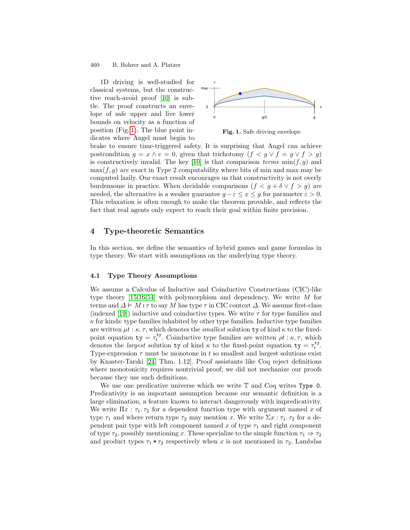1D driving is well-studied for classical systems, but the constructive reach-avoid proof [\[10\]](#page-16-14) is subtle. The proof constructs an envelope of safe upper and live lower bounds on velocity as a function of position (Fig. [1\)](#page-6-1). The blue point indicates where Angel must begin to



<span id="page-6-1"></span>Fig. 1. Safe driving envelope

brake to ensure time-triggered safety. It is surprising that Angel can achieve postcondition  $g = x \wedge v = 0$ , given that trichotomy  $(f < g \vee f = g \vee f > g)$ is constructively invalid. The key  $[10]$  is that comparison terms  $\min(f, g)$  and  $\max(f, g)$  are exact in Type 2 computability where bits of min and max may be computed lazily. Our exact result encourages us that constructivity is not overly burdensome in practice. When decidable comparisons  $(f < g + \delta \vee f > g)$  are needed, the alternative is a weaker guarantee  $g - \varepsilon \leq x \leq g$  for parameter  $\varepsilon > 0$ . This relaxation is often enough to make the theorem provable, and reflects the fact that real agents only expect to reach their goal within finite precision.

# <span id="page-6-0"></span>4 Type-theoretic Semantics

In this section, we define the semantics of hybrid games and game formulas in type theory. We start with assumptions on the underlying type theory.

### 4.1 Type Theory Assumptions

We assume a Calculus of Inductive and Coinductive Constructions (CIC)-like type theory [\[15](#page-16-15)[,16,](#page-16-16)[54\]](#page-18-14) with polymorphism and dependency. We write M for terms and  $\Delta \vdash M : \tau$  to say M has type  $\tau$  in CIC context  $\Delta$ . We assume first-class (indexed [\[19\]](#page-17-13)) inductive and coinductive types. We write  $\tau$  for type families and  $\kappa$  for kinds: type families inhabited by other type families. Inductive type families are written  $\mu t : \kappa. \tau$ , which denotes the *smallest* solution ty of kind  $\kappa$  to the fixedpoint equation  $ty = \tau_t^{ty}$ . Coinductive type families are written  $\rho t : \kappa, \tau$ , which denotes the *largest* solution ty of kind  $\kappa$  to the fixed-point equation ty =  $\tau_t^{\text{ty}}$ . Type-expression  $\tau$  must be monotone in t so smallest and largest solutions exist by Knaster-Tarski [\[24,](#page-17-14) Thm. 1.12]. Proof assistants like Coq reject definitions where monotonicity requires nontrivial proof; we did not mechanize our proofs because they use such definitions.

We use one predicative universe which we write  $T$  and Coq writes Type 0. Predicativity is an important assumption because our semantic definition is a large elimination, a feature known to interact dangerously with impredicativity. We write  $\Pi x$ :  $\tau_1$ ,  $\tau_2$  for a dependent function type with argument named x of type  $\tau_1$  and where return type  $\tau_2$  may mention x. We write  $\Sigma x : \tau_1 \cdot \tau_2$  for a dependent pair type with left component named x of type  $\tau_1$  and right component of type  $\tau_2$ , possibly mentioning x. These specialize to the simple function  $\tau_1 \Rightarrow \tau_2$ and product types  $\tau_1 * \tau_2$  respectively when x is not mentioned in  $\tau_2$ . Lambdas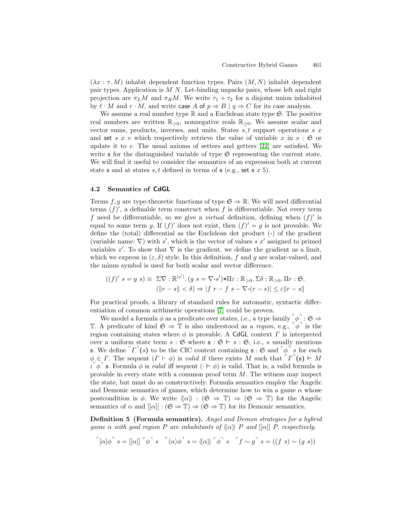$(\lambda x : \tau, M)$  inhabit dependent function types. Pairs  $(M, N)$  inhabit dependent pair types. Application is M N. Let-binding unpacks pairs, whose left and right projection are  $\pi_L M$  and  $\pi_R M$ . We write  $\tau_1 + \tau_2$  for a disjoint union inhabited by  $\ell \cdot M$  and  $r \cdot M$ , and write case A of  $p \Rightarrow B \mid q \Rightarrow C$  for its case analysis.

We assume a real number type  $\mathbb R$  and a Euclidean state type  $\mathfrak S$ . The positive real numbers are written  $\mathbb{R}_{>0}$ , nonnegative reals  $\mathbb{R}_{>0}$ . We assume scalar and vector sums, products, inverses, and units. States  $s, t$  support operations  $s \, x$ and set s x v which respectively retrieve the value of variable x in  $s : \mathfrak{S}$  or update it to  $v$ . The usual axioms of setters and getters  $[22]$  are satisfied. We write  $\mathfrak s$  for the distinguished variable of type  $\mathfrak S$  representing the current state. We will find it useful to consider the semantics of an expression both at current state  $\mathfrak s$  and at states s, t defined in terms of  $\mathfrak s$  (e.g., set  $\mathfrak s$  x 5).

#### <span id="page-7-0"></span>4.2 Semantics of CdGL

Terms f, g are type-theoretic functions of type  $\mathfrak{S} \Rightarrow \mathbb{R}$ . We will need differential terms  $(f)'$ , a definable term construct when f is differentiable. Not every term f need be differentiable, so we give a *virtual* definition, defining when  $(f)'$  is equal to some term g. If  $(f)'$  does not exist, then  $(f)' = g$  is not provable. We define the (total) differential as the Euclidean dot product  $(\cdot)$  of the gradient (variable name:  $\nabla$ ) with s', which is the vector of values s x' assigned to primed variables x'. To show that  $\nabla$  is the gradient, we define the gradient as a limit, which we express in  $(\varepsilon, \delta)$  style. In this definition, f and g are scalar-valued, and the minus symbol is used for both scalar and vector difference.

$$
((f)' s = g s) \equiv \Sigma \nabla : \mathbb{R}^{|s'|} \cdot (g s = \nabla \cdot s') * \Pi \varepsilon : \mathbb{R}_{>0} \cdot \Sigma \delta : \mathbb{R}_{>0} \cdot \Pi r : \mathfrak{S}.
$$
  

$$
(\|r - s\| < \delta) \Rightarrow |f r - f s - \nabla \cdot (r - s)| \le \varepsilon \|r - s\|
$$

For practical proofs, a library of standard rules for automatic, syntactic differentiation of common arithmetic operations [\[7\]](#page-16-17) could be proven.

We model a formula  $\phi$  as a predicate over states, i.e., a type family  $\phi$  :  $\mathfrak{S} \Rightarrow$ **T.** A predicate of kind  $\mathfrak{S} \Rightarrow \mathbb{T}$  is also understood as a *region*, e.g.,  $\phi$  is the region containing states where  $\phi$  is provable. A CdGL context  $\Gamma$  is interpreted over a uniform state term  $s : \mathfrak{S}$  where  $\mathfrak{s} : \mathfrak{S} \vdash s : \mathfrak{S}$ , i.e., s usually mentions **s**. We define  $\int^{\tau} \Gamma(s)$  to be the CIC context containing **s** :  $\mathfrak{S}$  and  $\int^{\tau} \phi$  s for each  $\phi \in \Gamma$ . The sequent  $(\Gamma \vdash \phi)$  is valid if there exists M such that  $\Gamma^{\dagger} \Gamma^{\dagger}(\mathfrak{s}) \vdash M$  $\cdot \left[ \phi \right]$  s. Formula  $\phi$  is *valid* iff sequent  $\left( \cdot \vdash \phi \right)$  is valid. That is, a valid formula is provable in every state with a common proof term M. The witness may inspect the state, but must do so constructively. Formula semantics employ the Angelic and Demonic semantics of games, which determine how to win a game  $\alpha$  whose postcondition is  $\phi$ . We write  $\langle \alpha \rangle : (\mathfrak{S} \Rightarrow \mathbb{T}) \Rightarrow (\mathfrak{S} \Rightarrow \mathbb{T})$  for the Angelic semantics of  $\alpha$  and  $[[\alpha]] : (\mathfrak{S} \Rightarrow \mathbb{T}) \Rightarrow (\mathfrak{S} \Rightarrow \mathbb{T})$  for its Demonic semantics.

Definition 5 (Formula semantics). Angel and Demon strategies for a hybrid game  $\alpha$  with goal region P are inhabitants of  $\langle \alpha \rangle$  P and  $[ \alpha ]$  P, respectively.

$$
\left[ \left[ \alpha \right] \phi \right] s = \left[ \left[ \alpha \right] \right] \left[ \phi \right] s \quad \left[ \langle \alpha \rangle \phi \right] s = \langle \langle \alpha \rangle \rangle \left[ \phi \right] s \quad \left[ f \sim g \right] s = \left( \left( f s \right) \sim (g s) \right)
$$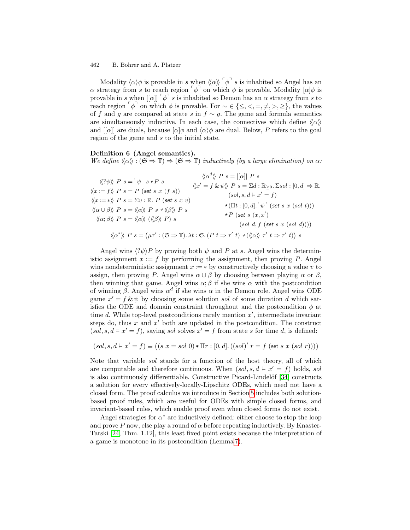Modality  $\langle \alpha \rangle \phi$  is provable in s when  $\langle \langle \alpha \rangle \rangle$   $\lceil \phi \rceil$  s is inhabited so Angel has an  $\alpha$  strategy from s to reach region  $\phi^{\dagger}$  on which  $\phi$  is provable. Modality  $[\alpha]\phi$  is provable in s when  $[[\alpha]] \begin{bmatrix} \phi \\ s \end{bmatrix}$  is inhabited so Demon has an  $\alpha$  strategy from s to reach region  $\phi$  on which  $\phi$  is provable. For  $\sim \phi \in \{\leq, \leq, =, \neq, >, \geq\}$ , the values of f and g are compared at state s in  $f \sim g$ . The game and formula semantics are simultaneously inductive. In each case, the connectives which define  $\langle \alpha \rangle$ and [[α]] are duals, because  $\alpha \phi \phi$  and  $\langle \alpha \rangle \phi$  are dual. Below, P refers to the goal region of the game and s to the initial state.

#### Definition 6 (Angel semantics).

We define  $\langle \alpha \rangle : (\mathfrak{S} \Rightarrow \mathbb{T}) \Rightarrow (\mathfrak{S} \Rightarrow \mathbb{T})$  inductively (by a large elimination) on  $\alpha$ :

$$
\langle\!\langle n^d \rangle\rangle P s = [\alpha] P s
$$
  
\n
$$
\langle\!\langle x := f \rangle\rangle P s = P (\text{set } s x (f s))
$$
  
\n
$$
\langle\!\langle x := f \rangle\rangle P s = P (\text{set } s x (f s))
$$
  
\n
$$
\langle\!\langle x := s \rangle\rangle P s = \sum v : \mathbb{R}. P (\text{set } s x v)
$$
  
\n
$$
\langle\!\langle \alpha \cup \beta \rangle\rangle P s = \langle\!\langle \alpha \rangle\rangle P s + \langle\!\langle \beta \rangle\rangle P s
$$
  
\n
$$
\langle\!\langle \alpha : \beta \rangle\rangle P s = \langle\!\langle \alpha \rangle\rangle (\langle\!\langle \beta \rangle\rangle P) s
$$
  
\n
$$
\langle\!\langle \alpha : \beta \rangle\rangle P s = (\mu \tau' : (\mathfrak{S} \Rightarrow \mathbb{T}). \lambda t : \mathfrak{S}. (P t \Rightarrow \tau' t) + (\langle\!\langle \alpha \rangle\rangle \tau' t \Rightarrow \tau' t) ) s
$$
  
\n
$$
\langle\!\langle \alpha \rangle\rangle P s = (\mu \tau' : (\mathfrak{S} \Rightarrow \mathbb{T}). \lambda t : \mathfrak{S}. (P t \Rightarrow \tau' t) + (\langle\!\langle \alpha \rangle\rangle \tau' t \Rightarrow \tau' t) ) s
$$

Angel wins  $\langle ?\psi \rangle P$  by proving both  $\psi$  and P at s. Angel wins the deterministic assignment  $x := f$  by performing the assignment, then proving P. Angel wins nondeterministic assignment  $x := *$  by constructively choosing a value v to assign, then proving P. Angel wins  $\alpha \cup \beta$  by choosing between playing  $\alpha$  or  $\beta$ , then winning that game. Angel wins  $\alpha$ ;  $\beta$  if she wins  $\alpha$  with the postcondition of winning  $\beta$ . Angel wins  $\alpha^d$  if she wins  $\alpha$  in the Demon role. Angel wins ODE game  $x' = f \& \psi$  by choosing some solution sol of some duration d which satisfies the ODE and domain constraint throughout and the postcondition  $\phi$  at time  $d$ . While top-level postconditions rarely mention  $x'$ , intermediate invariant steps do, thus  $x$  and  $x'$  both are updated in the postcondition. The construct  $(sol, s, d \models x' = f)$ , saying sol solves  $x' = f$  from state s for time d, is defined:

$$
(sol, s, d \models x' = f) \equiv ((s x = sol 0) * \Pi r : [0, d]. ((sol)' r = f (set s x (sol r))))
$$

Note that variable sol stands for a function of the host theory, all of which are computable and therefore continuous. When  $(sol, s, d \models x' = f)$  holds, sol is also continuously differentiable. Constructive Picard-Lindelöf  $[34]$  constructs a solution for every effectively-locally-Lipschitz ODEs, which need not have a closed form. The proof calculus we introduce in Section [5](#page-9-0) includes both solutionbased proof rules, which are useful for ODEs with simple closed forms, and invariant-based rules, which enable proof even when closed forms do not exist.

<span id="page-8-0"></span>Angel strategies for  $\alpha^*$  are inductively defined: either choose to stop the loop and prove P now, else play a round of  $\alpha$  before repeating inductively. By Knaster-Tarski [\[24,](#page-17-14) Thm. 1.12], this least fixed point exists because the interpretation of a game is monotone in its postcondition (Lemma [7\)](#page-8-0).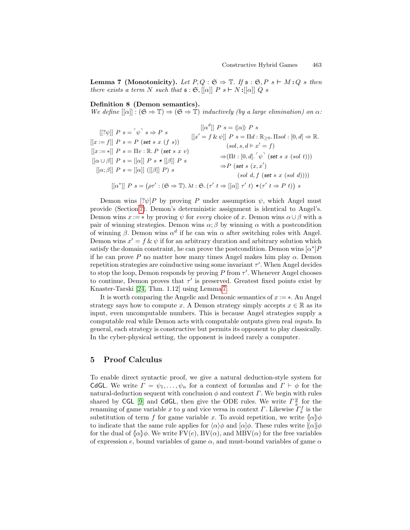**Lemma 7** (Monotonicity). Let  $P, Q : \mathfrak{S} \Rightarrow \mathbb{T}$ . If  $\mathfrak{s} : \mathfrak{S}, P \ s \vdash M : Q \ s$  then there exists a term N such that  $\mathfrak{s} : \mathfrak{S}, [[\alpha]] \, P \, s \vdash N : [[\alpha]] \, Q \, s$ 

### Definition 8 (Demon semantics).

We define  $[[\alpha]] : (\mathfrak{S} \Rightarrow \mathbb{T}) \Rightarrow (\mathfrak{S} \Rightarrow \mathbb{T})$  inductively (by a large elimination) on  $\alpha$ :

[[? $\psi$ ]]  $P s = \lceil \psi \rceil s \Rightarrow P s$  $[[x := f]]$  P  $s = P$  (set s x (f s))  $[[x := *]] P s = \Pi v : \mathbb{R} P$  (set s x v)  $[[\alpha \cup \beta]]$   $P$   $s = [[\alpha]]$   $P$   $s * [[\beta]]$   $P$   $s$  $[[\alpha;\beta]] P s = [[\alpha]] [[\beta]] P) s$  $[[\alpha^d]]$  P  $s = \langle \n \langle \alpha \rangle \rangle$  P s  $[[x' = f \& \psi]] \ P \ s = \Pi d : \mathbb{R}_{\geq 0}$ .  $\Pi sol : [0, d] \Rightarrow \mathbb{R}$ .  $(sol, s, d \vDash x' = f)$  $\Rightarrow (\Pi t : [0, d]. \ulcorner \psi \urcorner$  (set s x (sol t)))  $\Rightarrow P$  (set s  $(x,x')$  $\prime$  $(sol d, f (set s x (sol d))))$  $[[\alpha^*]] P s = (\rho \tau' : (\mathfrak{S} \Rightarrow \mathbb{T}). \lambda t : \mathfrak{S}.(\tau' t \Rightarrow [[\alpha]] \tau' t) * (\tau' t \Rightarrow P t)) s$ 

Demon wins  $\lceil \psi \rceil P$  by proving P under assumption  $\psi$ , which Angel must provide (Section [7\)](#page-14-0). Demon's deterministic assignment is identical to Angel's. Demon wins  $x := *$  by proving  $\psi$  for every choice of x. Demon wins  $\alpha \cup \beta$  with a pair of winning strategies. Demon wins  $\alpha$ ;  $\beta$  by winning  $\alpha$  with a postcondition of winning  $\beta$ . Demon wins  $\alpha^d$  if he can win  $\alpha$  after switching roles with Angel. Demon wins  $x' = f \& \psi$  if for an arbitrary duration and arbitrary solution which satisfy the domain constraint, he can prove the postcondition. Demon wins  $\lceil \alpha^* \rceil P$ if he can prove P no matter how many times Angel makes him play  $\alpha$ . Demon repetition strategies are coinductive using some invariant  $\tau'$ . When Angel decides to stop the loop, Demon responds by proving  $P$  from  $\tau'$ . Whenever Angel chooses to continue, Demon proves that  $\tau'$  is preserved. Greatest fixed points exist by Knaster-Tarski [\[24,](#page-17-14) Thm. 1.12] using Lemma [7.](#page-8-0)

It is worth comparing the Angelic and Demonic semantics of  $x := *$ . An Angel strategy says how to compute x. A Demon strategy simply accepts  $x \in \mathbb{R}$  as its input, even uncomputable numbers. This is because Angel strategies supply a computable real while Demon acts with computable outputs given real inputs. In general, each strategy is constructive but permits its opponent to play classically. In the cyber-physical setting, the opponent is indeed rarely a computer.

## <span id="page-9-0"></span>5 Proof Calculus

To enable direct syntactic proof, we give a natural deduction-style system for CdGL. We write  $\Gamma = \psi_1, \ldots, \psi_n$  for a context of formulas and  $\Gamma \vdash \phi$  for the natural-deduction sequent with conclusion  $\phi$  and context  $\Gamma$ . We begin with rules shared by CGL [\[9\]](#page-16-0) and CdGL, then give the ODE rules. We write  $\Gamma \frac{y}{x}$  for the renaming of game variable x to y and vice versa in context  $\Gamma$ . Likewise  $\tilde{\Gamma}_x^f$  is the substitution of term f for game variable x. To avoid repetition, we write  $\langle \alpha \rangle \phi$ to indicate that the same rule applies for  $\langle \alpha \rangle \phi$  and  $[\alpha] \phi$ . These rules write  $\langle \alpha \rangle \phi$ for the dual of  $\{\alpha\}\phi$ . We write  $FV(e)$ ,  $BV(\alpha)$ , and  $MBV(\alpha)$  for the free variables of expression e, bound variables of game  $\alpha$ , and must-bound variables of game  $\alpha$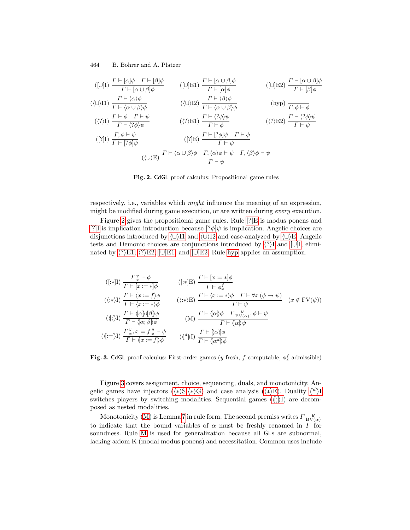<span id="page-10-5"></span>
$$
(\text{U}|\text{I}) \frac{\Gamma \vdash [\alpha]\phi \quad \Gamma \vdash [\beta]\phi}{\Gamma \vdash [\alpha \cup \beta]\phi} \qquad (\text{[U}|\text{E1}) \frac{\Gamma \vdash [\alpha \cup \beta]\phi}{\Gamma \vdash [\alpha]\phi} \qquad (\text{[U}|\text{E2}) \frac{\Gamma \vdash [\alpha \cup \beta]\phi}{\Gamma \vdash [\beta]\phi}
$$
  

$$
(\langle \cup \rangle \text{I1}) \frac{\Gamma \vdash \langle \alpha \rangle \phi}{\Gamma \vdash \langle \alpha \cup \beta \rangle \phi} \qquad (\langle \cup \rangle \text{I2}) \frac{\Gamma \vdash \langle \beta \rangle \phi}{\Gamma \vdash \langle \alpha \cup \beta \rangle \phi} \qquad (\text{hyp}) \frac{\Gamma \vdash \langle \alpha \cup \beta \rangle \phi}{\Gamma, \phi \vdash \phi}
$$
  

$$
(\langle ? \rangle \text{I}) \frac{\Gamma \vdash \phi \quad \Gamma \vdash \psi}{\Gamma \vdash \langle ? \phi \rangle \psi} \qquad (\langle ? \rangle \text{E1}) \frac{\Gamma \vdash \langle ? \phi \rangle \psi}{\Gamma \vdash \phi} \qquad (\langle ? \rangle \text{E2}) \frac{\Gamma \vdash \langle ? \phi \rangle \psi}{\Gamma \vdash \psi}
$$
  

$$
(\langle ? \rangle \text{E1}) \frac{\Gamma \vdash \langle ? \phi \rangle \psi}{\Gamma \vdash \phi} \qquad (\langle ? \rangle \text{E2}) \frac{\Gamma \vdash \langle ? \phi \rangle \psi}{\Gamma \vdash \psi}
$$
  

$$
(\langle \cup \rangle \text{E2}) \frac{\Gamma \vdash \langle \alpha \cup \beta \rangle \phi \quad \Gamma, \langle \alpha \rangle \phi \vdash \psi}{\Gamma \vdash \psi} \qquad (\langle \cup \rangle \text{E3}) \frac{\Gamma \vdash \langle \alpha \cup \beta \rangle \phi \quad \Gamma, \langle \alpha \rangle \phi \vdash \psi}{\Gamma \vdash \psi} \qquad (\langle \cup \rangle \text{E4}) \frac{\Gamma \vdash \langle \alpha \cup \beta \rangle \phi \quad \Gamma, \langle \alpha \rangle \phi \vdash \psi}{\Gamma \vdash \psi}
$$

<span id="page-10-6"></span><span id="page-10-4"></span><span id="page-10-3"></span><span id="page-10-2"></span><span id="page-10-1"></span><span id="page-10-0"></span>Fig. 2. CdGL proof calculus: Propositional game rules

respectively, i.e., variables which might influence the meaning of an expression, might be modified during game execution, or are written during every execution.

Figure [2](#page-10-0) gives the propositional game rules. Rule [\[?\]E](#page-10-1) is modus ponens and [\[?\]I](#page-0-0) is implication introduction because  $[? \phi] \psi$  is implication. Angelic choices are disjunctions introduced by  $\langle \cup \rangle$ I1 and  $\langle \cup \rangle$ I2 and case-analyzed by  $\langle \cup \rangle$ E. Angelic tests and Demonic choices are conjunctions introduced by  $\langle ? \rangle$  $\langle ? \rangle$  $\langle ? \rangle$ I and [∪[\]I,](#page-0-0) eliminated by  $\langle ? \rangle E1$ ,  $\langle ? \rangle E2$ , [∪][E1,](#page-10-3) and [∪[\]E2.](#page-10-6) Rule [hyp](#page-0-0) applies an assumption.

<span id="page-10-10"></span><span id="page-10-9"></span>
$$
(\cdot|\cdot|I) \frac{\Gamma^{\frac{y}{x}} \vdash \phi}{\Gamma \vdash [x := *]\phi} \qquad (\cdot|\cdot|E) \frac{\Gamma \vdash [x := *]\phi}{\Gamma \vdash \phi_x^f}
$$
  

$$
(\cdot|\cdot|I) \frac{\Gamma \vdash \langle x := f \rangle \phi}{\Gamma \vdash \langle x := * \rangle \phi} \qquad (\cdot|\cdot|E) \frac{\Gamma \vdash \langle x := * \rangle \phi}{\Gamma \vdash \phi_x^f}
$$
  

$$
(\langle \cdot|\cdot|I) \frac{\Gamma \vdash \langle \alpha \rangle \langle \beta \rangle \phi}{\Gamma \vdash \langle \alpha \rangle \langle \beta \rangle \phi} \qquad (M) \frac{\Gamma \vdash \langle \alpha \rangle \phi}{\Gamma \vdash \langle \alpha \rangle \phi} \frac{\Gamma \vdash \langle \alpha \rangle \phi}{\Gamma \vdash \langle \alpha \rangle \psi} \qquad (L \vdash \phi) \frac{\Gamma \vdash \langle \alpha \rangle \langle \alpha \rangle \phi}{\Gamma \vdash \langle \alpha \rangle \langle \alpha \rangle \phi}
$$
  

$$
(\langle \cdot|\cdot|I) \frac{\Gamma^{\frac{y}{x}} \cdot x = f^{\frac{y}{x} \vdash \phi}{\Gamma \vdash \langle x := f \rangle \phi} \qquad (\langle \cdot|\cdot|I) \frac{\Gamma \vdash \langle \alpha \rangle \phi}{\Gamma \vdash \langle \alpha \rangle \phi}
$$

<span id="page-10-8"></span><span id="page-10-7"></span>Fig. 3. CdGL proof calculus: First-order games (y fresh, f computable,  $\phi_x^f$  admissible)

Figure [3](#page-10-7) covers assignment, choice, sequencing, duals, and monotonicity. Angelic games [h](#page-10-8)ave injectors ( $\langle * \rangle S, \langle * \rangle G$ ) and case analysis ( $\langle * \rangle E$ ). Duality  $\langle \phi \rangle$ I switches players by switching modalities. Sequential games  $(\{\cdot\})$ I) are decomposed as nested modalities.

Monotonicity [\(M\)](#page-0-0) is Lemma [7](#page-8-0) in rule form. The second premiss writes  $\Gamma \frac{y}{BV(\alpha)}$ to indicate that the bound variables of  $\alpha$  must be freshly renamed in  $\Gamma$  for soundness. Rule [M](#page-0-0) is used for generalization because all GLs are subnormal, lacking axiom K (modal modus ponens) and necessitation. Common uses include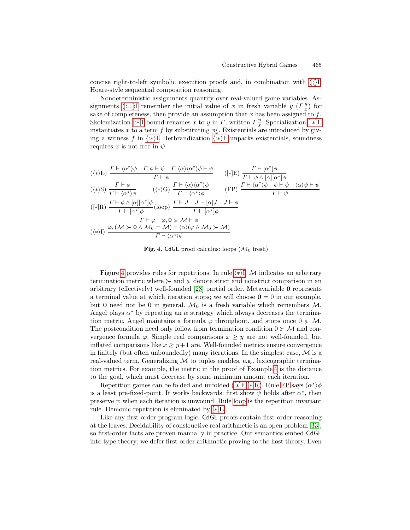concise right-to-left symbolic execution proofs and, in combination with  $\langle \cdot | \cdot \rangle I$ , Hoare-style sequential composition reasoning.

Nondeterministic assignments quantify over real-valued game variables. Assignments  $\langle := \rangle$ I remember the initial value of x in fresh variable y  $(\Gamma_x^y)$  for sake of completeness, then provide an assumption that  $x$  has been assigned to  $f$ . Skolemization [:\*[\]I](#page-0-0) bound-renames x to y in  $\Gamma$ , written  $\Gamma_x^y$ . Specialization [:\*[\]E](#page-10-9) instantiates x to a term f by substituting  $\phi_x^f$ . Existentials are introduced by giving a witness f in  $\langle$ :∗)I. Herbrandization  $\langle$ :∗ $\rangle$ E unpacks existentials, soundness requires x is not free in  $\psi$ .

$$
(\langle *)E) \frac{\Gamma \vdash \langle \alpha^* \rangle \phi \quad \Gamma, \phi \vdash \psi \quad \Gamma, \langle \alpha \rangle \langle \alpha^* \rangle \phi \vdash \psi}{\Gamma \vdash \psi} \qquad ([*]E) \frac{\Gamma \vdash [\alpha^*] \phi}{\Gamma \vdash \phi \land [\alpha][\alpha^*] \phi}
$$
  

$$
(\langle * \rangle S) \frac{\Gamma \vdash \phi}{\Gamma \vdash \langle \alpha^* \rangle \phi} \qquad (\langle * \rangle G) \frac{\Gamma \vdash \langle \alpha \rangle \langle \alpha^* \rangle \phi}{\Gamma \vdash \langle \alpha^* \rangle \phi} \qquad (\text{FP}) \frac{\Gamma \vdash \langle \alpha^* \rangle \phi \quad \phi \vdash \psi \quad \langle \alpha \rangle \psi \vdash \psi}{\Gamma \vdash \psi}
$$
  

$$
([\ast]R) \frac{\Gamma \vdash \phi \land [\alpha][\alpha^*] \phi}{\Gamma \vdash [\alpha^*] \phi} (\text{loop}) \frac{\Gamma \vdash J \quad J \vdash [\alpha] J \quad J \vdash \phi}{\Gamma \vdash [\alpha^*] \phi}
$$
  

$$
\Gamma \vdash \varphi \quad \varphi, \mathbf{0} \succcurlyeq \mathcal{M} \vdash \phi
$$
  

$$
(\langle * \rangle I) \frac{\varphi, (\mathcal{M} \succ \mathbf{0} \land \mathcal{M}_0 = \mathcal{M}) \vdash \langle \alpha \rangle (\varphi \land \mathcal{M}_0 \succ \mathcal{M})}{\Gamma \vdash \langle \alpha^* \rangle \phi}
$$

<span id="page-11-1"></span><span id="page-11-0"></span>Fig. 4. CdGL proof calculus: loops  $(\mathcal{M}_0$  fresh)

Figure [4](#page-11-0) provides rules for repetitions. In rule  $\langle \ast \rangle I$ , M indicates an arbitrary termination metric where  $\succ$  and  $\succ$  denote strict and nonstrict comparison in an arbitrary (effectively) well-founded [\[28\]](#page-17-16) partial order. Metavariable 0 represents a terminal value at which iteration stops; we will choose  $\mathbf{0} = 0$  in our example, but 0 need not be 0 in general.  $\mathcal{M}_0$  is a fresh variable which remembers  $\mathcal{M}$ . Angel plays  $\alpha^*$  by repeating an  $\alpha$  strategy which always decreases the termination metric. Angel maintains a formula  $\varphi$  throughout, and stops once  $0 \succcurlyeq M$ . The postcondition need only follow from termination condition  $0 \succcurlyeq M$  and convergence formula  $\varphi$ . Simple real comparisons  $x \geq y$  are not well-founded, but inflated comparisons like  $x \geq y+1$  are. Well-founded metrics ensure convergence in finitely (but often unboundedly) many iterations. In the simplest case,  $\mathcal{M}$  is a real-valued term. Generalizing  $M$  to tuples enables, e.g., lexicographic termination metrics. For example, the metric in the proof of Example [4](#page-5-0) is the distance to the goal, which must decrease by some minimum amount each iteration.

Repetition games can be folded and unfolded ([\*|E,[\*|R). Rule [FP](#page-11-1) says  $\langle \alpha^* \rangle \phi$ is a least pre-fixed-point. It works backwards: first show  $\psi$  holds after  $\alpha^*$ , then preserve  $\psi$  when each iteration is unwound. Rule [loop](#page-0-0) is the repetition invariant rule. Demonic repetition is eliminated by [∗[\]E.](#page-0-0)

Like any first-order program logic, CdGL proofs contain first-order reasoning at the leaves. Decidability of constructive real arithmetic is an open problem [\[33\]](#page-17-17), so first-order facts are proven manually in practice. Our semantics embed CdGL into type theory; we defer first-order arithmetic proving to the host theory. Even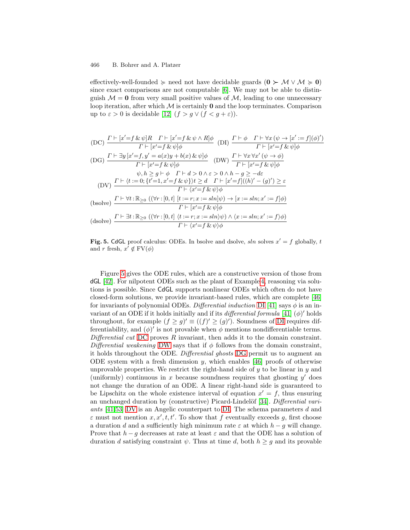effectively-well-founded  $\succeq$  need not have decidable guards  $(0 \succeq M \vee M \succeq 0)$ since exact comparisons are not computable [\[6\]](#page-16-1). We may not be able to distinguish  $\mathcal{M} = 0$  from very small positive values of  $\mathcal{M}$ , leading to one unnecessary loop iteration, after which  $M$  is certainly  $\bf{0}$  and the loop terminates. Comparison up to  $\varepsilon > 0$  is decidable [\[12\]](#page-16-2)  $(f > g \vee (f < g + \varepsilon))$ .

(DC) 
$$
\frac{\Gamma \vdash [x' = f \& \psi]R \quad \Gamma \vdash [x' = f \& \psi \land R] \phi}{\Gamma \vdash [x' = f \& \psi] \phi} \quad \text{(DI)} \quad \frac{\Gamma \vdash \phi \quad \Gamma \vdash \forall x (\psi \to [x' := f](\phi)')}{\Gamma \vdash [x' = f \& \psi] \phi}
$$
  
\n(DG) 
$$
\frac{\Gamma \vdash \exists y [x' = f, y' = a(x)y + b(x) \& \psi] \phi}{\Gamma \vdash [x' = f \& \psi] \phi} \quad \text{(DW)} \quad \frac{\Gamma \vdash \forall x \forall x' (\psi \to \phi)}{\Gamma \vdash [x' = f \& \psi] \phi}
$$
  
\n
$$
\psi, h \ge g \vdash \phi \quad \Gamma \vdash d > 0 \land \varepsilon > 0 \land h - g \ge -d\varepsilon
$$
  
\n(DV) 
$$
\frac{\Gamma \vdash \langle t := 0; \{t' = 1, x' = f \& \psi\} \rangle t \ge d \quad \Gamma \vdash [x' = f] ((h)' - (g)') \ge \varepsilon}{\Gamma \vdash (x' = f \& \psi) \phi}
$$
  
\n(bsolve) 
$$
\frac{\Gamma \vdash \forall t : \mathbb{R}_{\ge 0} \ ((\forall r : [0, t] \ [t := r; x := sln] \psi) \rightarrow [x := sln; x' := f] \phi)}{\Gamma \vdash [x' = f \& \psi] \phi}
$$
  
\n(dsolve) 
$$
\frac{\Gamma \vdash \exists t : \mathbb{R}_{\ge 0} \ ((\forall r : [0, t] \ (t := r; x := sln) \psi) \land \langle x := sln; x' := f \rangle \phi)}{\Gamma \vdash \langle x' = f \& \psi \rangle \phi}
$$

<span id="page-12-0"></span>Fig. 5. CdGL proof calculus: ODEs. In bsolve and dsolve,  $sln$  solves  $x' = f$  globally, t and r fresh,  $x' \notin FV(\phi)$ 

Figure [5](#page-12-0) gives the ODE rules, which are a constructive version of those from dGL [\[42\]](#page-18-0). For nilpotent ODEs such as the plant of Example [4,](#page-5-0) reasoning via solutions is possible. Since CdGL supports nonlinear ODEs which often do not have closed-form solutions, we provide invariant-based rules, which are complete [\[46\]](#page-18-15) for invariants of polynomial ODEs. Differential induction [DI](#page-0-0) [\[41\]](#page-18-16) says  $\phi$  is an invariant of an ODE if it holds initially and if its *differential formula* [\[41\]](#page-18-16)  $(\phi)'$  holds throughout, for example  $(f \ge g)' \equiv ((f)' \ge (g)')$ . Soundness of [DI](#page-0-0) requires differentiability, and  $(\phi)'$  is not provable when  $\phi$  mentions nondifferentiable terms. Differential cut [DC](#page-0-0) proves R invariant, then adds it to the domain constraint. Differential weakening [DW](#page-0-0) says that if  $\phi$  follows from the domain constraint, it holds throughout the ODE. Differential ghosts [DG](#page-0-0) permit us to augment an ODE system with a fresh dimension  $y$ , which enables [\[46\]](#page-18-15) proofs of otherwise unprovable properties. We restrict the right-hand side of  $y$  to be linear in  $y$  and (uniformly) continuous in  $x$  because soundness requires that ghosting  $y'$  does not change the duration of an ODE. A linear right-hand side is guaranteed to be Lipschitz on the whole existence interval of equation  $x' = f$ , thus ensuring an unchanged duration by (constructive) Picard-Lindelöf [\[34\]](#page-17-0). Differential variants [\[41](#page-18-16)[,53\]](#page-18-17) [DV](#page-0-0) is an Angelic counterpart to [DI.](#page-0-0) The schema parameters d and  $\varepsilon$  must not mention  $x, x', t, t'$ . To show that f eventually exceeds g, first choose a duration d and a sufficiently high minimum rate  $\varepsilon$  at which  $h - q$  will change. Prove that  $h-g$  decreases at rate at least  $\varepsilon$  and that the ODE has a solution of duration d satisfying constraint  $\psi$ . Thus at time d, both  $h \geq g$  and its provable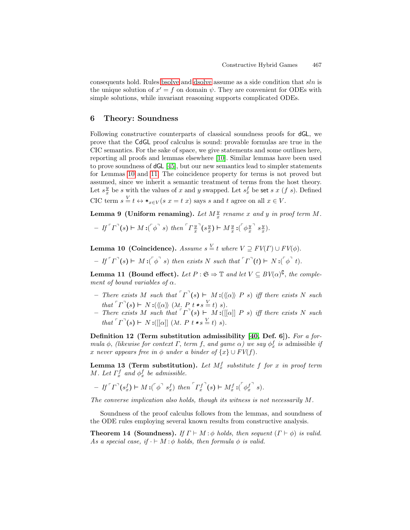consequents hold. Rules [bsolve](#page-0-0) and [dsolve](#page-0-0) assume as a side condition that  $sln$  is the unique solution of  $x' = f$  on domain  $\psi$ . They are convenient for ODEs with simple solutions, while invariant reasoning supports complicated ODEs.

# 6 Theory: Soundness

Following constructive counterparts of classical soundness proofs for dGL, we prove that the CdGL proof calculus is sound: provable formulas are true in the CIC semantics. For the sake of space, we give statements and some outlines here, reporting all proofs and lemmas elsewhere [\[10\]](#page-16-14). Similar lemmas have been used to prove soundness of dGL [\[45\]](#page-18-18), but our new semantics lead to simpler statements for Lemmas [10](#page-13-1) and [11.](#page-13-2) The coincidence property for terms is not proved but assumed, since we inherit a semantic treatment of terms from the host theory. Let  $s_x^y$  be s with the values of x and y swapped. Let  $s_x^f$  be set s x (f s). Defined CIC term  $s \stackrel{V}{=} t \leftrightarrow *_{x \in V} (s x = t x)$  says s and t agree on all  $x \in V$ .

<span id="page-13-4"></span>**Lemma 9 (Uniform renaming).** Let  $M\frac{y}{x}$  rename x and y in proof term M.

$$
- \hspace{0.1cm} If \hspace{0.1cm} \Gamma \hspace{0.1cm} \Gamma^{\top}(s) \vdash M : (\hspace{0.1cm} \varphi \hspace{0.1cm} \widehat{\hspace{0.1cm}} \hspace{0.1cm} s) \hspace{0.1cm} then \hspace{0.1cm} \Gamma \hspace{0.1cm} \frac{y}{x} \hspace{0.1cm} \Gamma(s \hspace{0.1cm} \frac{y}{x}) \vdash M \hspace{0.1cm} \frac{y}{x} : (\hspace{0.1cm} \varphi \hspace{0.1cm} \frac{y}{x} \hspace{0.1cm} \widehat{\hspace{0.1cm}} s \hspace{0.1cm} \frac{y}{x}).
$$

<span id="page-13-1"></span>**Lemma 10 (Coincidence).** Assume  $s \stackrel{V}{=} t$  where  $V \supseteq FV(\Gamma) \cup FV(\phi)$ .

 $-If\ulcorner T\urcorner(s) \vdash M: (\ulcorner \phi \urcorner s) \text{ then exists } N \text{ such that } \ulcorner T\urcorner(t) \vdash N: (\ulcorner \phi \urcorner t).$ 

<span id="page-13-2"></span>**Lemma 11 (Bound effect).** Let  $P : \mathfrak{S} \Rightarrow \mathbb{T}$  and let  $V \subseteq BV(\alpha)^{\complement}$ , the complement of bound variables of  $\alpha$ .

- There exists M such that  $\ulcorner \Gamma \urcorner (s) \vdash M : (\langle \langle \alpha \rangle \rangle P s)$  iff there exists N such that  $\ulcorner \Gamma \urcorner (s) \vdash N : (\langle \langle \alpha \rangle \rangle \; (\lambda t. \; P \; t * s \stackrel{V}{=} t) \; s).$
- There exists M such that  $\lceil \Gamma^{\dagger}(s) \rceil \in M$ :([[α]] P s) iff there exists N such that  $\ulcorner \Gamma \urcorner (s) \vdash N : ([[\alpha]] (\lambda t. P \ t * s \stackrel{V}{=} t) \ s).$

<span id="page-13-0"></span>Definition 12 (Term substitution admissibility [\[40,](#page-18-19) Def. 6]). For a formula  $\phi$ , (likewise for context  $\Gamma$ , term f, and game  $\alpha$ ) we say  $\phi_x^f$  is admissible if x never appears free in  $\phi$  under a binder of  $\{x\} \cup FV(f)$ .

<span id="page-13-3"></span>**Lemma 13 (Term substitution).** Let  $M_x^f$  substitute f for x in proof term M. Let  $\Gamma_x^f$  and  $\phi_x^f$  be admissible.

$$
- If \ulcorner \Gamma \urcorner (s_x^f) \vdash M : (\ulcorner \phi \urcorner s_x^f) \ then \ulcorner \Gamma_x^{f} \urcorner (s) \vdash M_x^f : (\ulcorner \phi_x^{f} \urcorner s).
$$

The converse implication also holds, though its witness is not necessarily M.

Soundness of the proof calculus follows from the lemmas, and soundness of the ODE rules employing several known results from constructive analysis.

**Theorem 14 (Soundness).** If  $\Gamma \vdash M : \phi$  holds, then sequent  $(\Gamma \vdash \phi)$  is valid. As a special case, if  $\cdot \vdash M : \phi$  holds, then formula  $\phi$  is valid.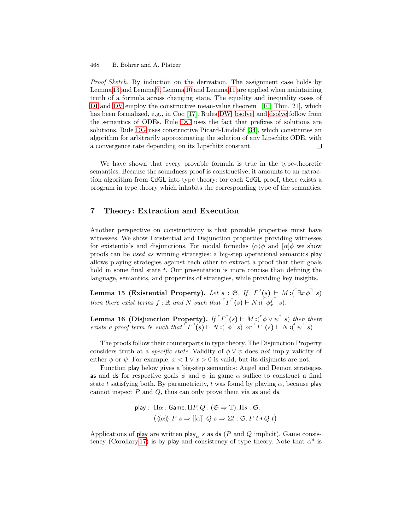Proof Sketch. By induction on the derivation. The assignment case holds by Lemma [13](#page-13-3) and Lemma [9.](#page-13-4) Lemma [10](#page-13-1) and Lemma [11](#page-13-2) are applied when maintaining truth of a formula across changing state. The equality and inequality cases of [DI](#page-0-0) and [DV](#page-0-0) employ the constructive mean-value theorem [\[10,](#page-16-14) Thm. 21], which has been formalized, e.g., in Coq [\[17\]](#page-16-3). Rules [DW, bsolve,](#page-0-0) and [dsolve](#page-0-0) follow from the semantics of ODEs. Rule [DC](#page-0-0) uses the fact that prefixes of solutions are solutions. Rule [DG](#page-0-0) uses constructive Picard-Lindelöf [\[34\]](#page-17-0), which constitutes an algorithm for arbitrarily approximating the solution of any Lipschitz ODE, with a convergence rate depending on its Lipschitz constant.  $\Box$ 

We have shown that every provable formula is true in the type-theoretic semantics. Because the soundness proof is constructive, it amounts to an extraction algorithm from CdGL into type theory: for each CdGL proof, there exists a program in type theory which inhabits the corresponding type of the semantics.

## <span id="page-14-0"></span>7 Theory: Extraction and Execution

Another perspective on constructivity is that provable properties must have witnesses. We show Existential and Disjunction properties providing witnesses for existentials and disjunctions. For modal formulas  $\langle \alpha \rangle \phi$  and  $[\alpha] \phi$  we show proofs can be used as winning strategies: a big-step operational semantics play allows playing strategies against each other to extract a proof that their goals hold in some final state  $t$ . Our presentation is more concise than defining the language, semantics, and properties of strategies, while providing key insights.

Lemma 15 (Existential Property). Let  $s : \mathfrak{S}$ . If  $\ulcorner \Gamma \urcorner (s) \vdash M : (\ulcorner \exists x \phi \urcorner s)$ then there exist terms  $f : \mathbb{R}$  and N such that  $\lceil \Gamma^{\dagger}(s) \rceil \vdots$   $\sum_{k=1}^{n} \left( \bigwedge_{i=1}^{k} f_{k} \right)$  $\begin{bmatrix} \overline{z} \\ \overline{z} \end{bmatrix}$ .

**Lemma 16 (Disjunction Property).** If  $\Gamma^{\dagger}(\mathbf{s}) \vdash M : (\mathbf{s} \vee \psi^{\dagger} \mathbf{s})$  then there exists a proof term N such that  $\ulcorner \Gamma^{\dagger}(s) \vdash N : (\ulcorner \phi^{\dagger} s)$  or  $\ulcorner \rGamma^{\dagger}(s) \vdash N : (\ulcorner \psi \urcorner s)$ .

The proofs follow their counterparts in type theory. The Disjunction Property considers truth at a *specific state*. Validity of  $\phi \vee \psi$  does not imply validity of either  $\phi$  or  $\psi$ . For example,  $x < 1 \vee x > 0$  is valid, but its disjuncts are not.

Function play below gives a big-step semantics: Angel and Demon strategies as and ds for respective goals  $\phi$  and  $\psi$  in game  $\alpha$  suffice to construct a final state t satisfying both. By parametricity, t was found by playing  $\alpha$ , because play cannot inspect  $P$  and  $Q$ , thus can only prove them via as and ds.

$$
\begin{aligned}\n\text{play}: \ \ \Pi\alpha: \text{Game.}\ \Pi P, Q: (\mathfrak{S} \Rightarrow \mathbb{T}). \ \Pi s: \mathfrak{S.} \\
(\langle\!\langle \alpha \rangle\!\rangle \ P \ s \Rightarrow [[\alpha]] \ Q \ s \Rightarrow \Sigma t: \mathfrak{S}. \ P \ t * Q \ t)\n\end{aligned}
$$

Applications of play are written play<sub> $\alpha$ </sub> s as ds (P and Q implicit). Game consis-tency (Corollary [17\)](#page-15-0) is by play and consistency of type theory. Note that  $\alpha^d$  is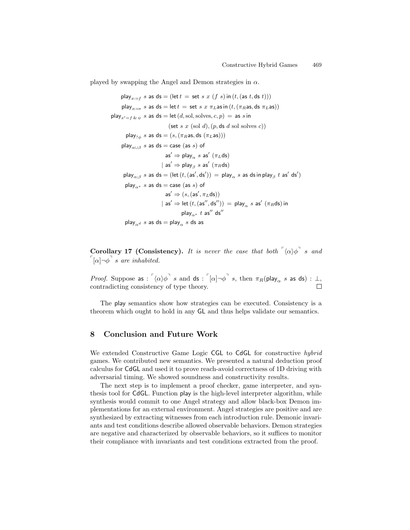played by swapping the Angel and Demon strategies in  $\alpha$ .

play $_{x:=f}$   $s$  as ds  $=($  let  $t =$  set  $s\ x\ (f\ s)$  in  $(t,$   $(\textsf{as}\ t,$   $\textsf{ds}\ t)))$ play $_{x=\ast}$   $s$  as ds  $=$  let  $t\,=\,$  set  $s\,\,x\,\,\pi_L$ as in  $(t,(\pi_R$ as, ds  $\pi_L$ as) $)$ play<sub>x'=f &  $\psi$ </sub> s as ds = let  $(d, \text{sol}, \text{solves}, c, p)$  = as s in (set s x (sol d),  $(p, ds d$  sol solves c)) play $_{? \phi}$   $s$  as ds  $=(s,(\pi_R$ as, ds  $(\pi_L$ as))) play $_{\alpha\cup\beta}$   $s$  as ds  $=$  case (as  $s)$  of  $\mathsf{as}' \Rightarrow \mathsf{play}_{\alpha} \ s \ \mathsf{as}' \ (\pi_L \mathsf{ds})$  $|$  as'  $\Rightarrow$  play<sub>β</sub> s as'  $(\pi_R ds)$ play $_{\alpha;\beta}$   $s$  as ds  $=$   $(\mathsf{let}\,(t,(\mathsf{as}',\mathsf{ds}'))\,=\,\mathsf{play}_{\alpha}\,s$  as ds in play $_{\beta}\,t$  as' ds') play<sub> $\alpha$ </sub>∗ s as ds = case (as s) of  $\mathsf{as}' \Rightarrow (s, (\mathsf{as}', \pi_L \mathsf{ds}))$  $|\; {\sf as}' \Rightarrow$  let  $(t, ({\sf as}'',{\sf ds}''))\,=\, {\sf play}_\alpha \, \, s\,$  as'  $(\pi_R{\sf ds})$  in play $_{\alpha^*}$  t as" ds" play<sub> $\alpha$ </sub>d s as ds = play<sub> $\alpha$ </sub> s ds as

<span id="page-15-0"></span>Corollary 17 (Consistency). It is never the case that both  $\left[\langle \alpha \rangle \phi \right]$  is and  $\lceil \alpha \rceil \neg \phi$  *s* are inhabited.

*Proof.* Suppose as :  $\left[\langle \alpha \rangle \phi \right]$  s and ds :  $\left[\alpha \right] \neg \phi$  s, then  $\pi_R(\text{play}_{\alpha} s \text{ as ds}) : \bot$ , contradicting consistency of type theory.

The play semantics show how strategies can be executed. Consistency is a theorem which ought to hold in any GL and thus helps validate our semantics.

# 8 Conclusion and Future Work

We extended Constructive Game Logic CGL to CdGL for constructive *hybrid* games. We contributed new semantics. We presented a natural deduction proof calculus for CdGL and used it to prove reach-avoid correctness of 1D driving with adversarial timing. We showed soundness and constructivity results.

The next step is to implement a proof checker, game interpreter, and synthesis tool for CdGL. Function play is the high-level interpreter algorithm, while synthesis would commit to one Angel strategy and allow black-box Demon implementations for an external environment. Angel strategies are positive and are synthesized by extracting witnesses from each introduction rule. Demonic invariants and test conditions describe allowed observable behaviors. Demon strategies are negative and characterized by observable behaviors, so it suffices to monitor their compliance with invariants and test conditions extracted from the proof.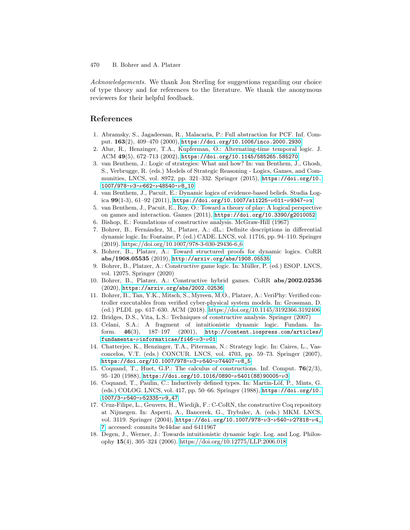Acknowledgements. We thank Jon Sterling for suggestions regarding our choice of type theory and for references to the literature. We thank the anonymous reviewers for their helpful feedback.

# References

- <span id="page-16-9"></span>1. Abramsky, S., Jagadeesan, R., Malacaria, P.: Full abstraction for PCF. Inf. Comput. 163(2), 409–470 (2000), <https://doi.org/10.1006/inco.2000.2930>
- <span id="page-16-5"></span>2. Alur, R., Henzinger, T.A., Kupferman, O.: Alternating-time temporal logic. J. ACM 49(5), 672–713 (2002), <https://doi.org/10.1145/585265.585270>
- <span id="page-16-6"></span>3. van Benthem, J.: Logic of strategies: What and how? In: van Benthem, J., Ghosh, S., Verbrugge, R. (eds.) Models of Strategic Reasoning - Logics, Games, and Communities, LNCS, vol. 8972, pp. 321–332. Springer (2015), [https://doi.org/10.](https://doi.org/10.1007/978-3-662-48540-8_10) [1007/978-](https://doi.org/10.1007/978-3-662-48540-8_10)ν3-ν662-ν48540-ν8\_10
- <span id="page-16-8"></span>4. van Benthem, J., Pacuit, E.: Dynamic logics of evidence-based beliefs. Studia Logica 99(1-3), 61-92 (2011), [https://doi.org/10.1007/s11225-](https://doi.org/10.1007/s11225-011-9347-x) $\nu$ 011- $\nu$ 9347- $\nu$ x
- <span id="page-16-7"></span>5. van Benthem, J., Pacuit, E., Roy, O.: Toward a theory of play: A logical perspective on games and interaction. Games (2011), <https://doi.org/10.3390/g2010052>
- <span id="page-16-1"></span>6. Bishop, E.: Foundations of constructive analysis. McGraw-Hill (1967)
- <span id="page-16-17"></span>7. Bohrer, B., Fernández, M., Platzer, A.:  $dL_i$ : Definite descriptions in differential dynamic logic. In: Fontaine, P. (ed.) CADE. LNCS, vol. 11716, pp. 94–110. Springer (2019). [https://doi.org/10.1007/978-3-030-29436-6](https://doi.org/10.1007/978-3-030-29436-6_6) 6
- <span id="page-16-12"></span>8. Bohrer, B., Platzer, A.: Toward structured proofs for dynamic logics. CoRR abs/1908.05535 (2019), <http://arxiv.org/abs/1908.05535>
- <span id="page-16-0"></span>9. Bohrer, B., Platzer, A.: Constructive game logic. In: Müller, P. (ed.) ESOP. LNCS, vol. 12075. Springer (2020)
- <span id="page-16-14"></span>10. Bohrer, B., Platzer, A.: Constructive hybrid games. CoRR abs/2002.02536 (2020), <https://arxiv.org/abs/2002.02536>
- <span id="page-16-13"></span>11. Bohrer, B., Tan, Y.K., Mitsch, S., Myreen, M.O., Platzer, A.: VeriPhy: Verified controller executables from verified cyber-physical system models. In: Grossman, D. (ed.) PLDI. pp. 617–630. ACM (2018).<https://doi.org/10.1145/3192366.3192406>
- <span id="page-16-2"></span>12. Bridges, D.S., Vita, L.S.: Techniques of constructive analysis. Springer (2007)
- <span id="page-16-11"></span>13. Celani, S.A.: A fragment of intuitionistic dynamic logic. Fundam. Inform. 46(3), 187–197 (2001), [http://content.iospress.com/articles/](http://content.iospress.com/articles/fundamenta-informaticae/fi46-3-01) fundamenta-ν[informaticae/fi46-](http://content.iospress.com/articles/fundamenta-informaticae/fi46-3-01)ν3-ν01
- <span id="page-16-4"></span>14. Chatterjee, K., Henzinger, T.A., Piterman, N.: Strategy logic. In: Caires, L., Vasconcelos, V.T. (eds.) CONCUR. LNCS, vol. 4703, pp. 59–73. Springer (2007), [https://doi.org/10.1007/978-](https://doi.org/10.1007/978-3-540-74407-8_5) $\nu$ 3- $\nu$ 540- $\nu$ 74407- $\nu$ 8\_5
- <span id="page-16-15"></span>15. Coquand, T., Huet, G.P.: The calculus of constructions. Inf. Comput. 76(2/3),  $95-120$   $(1988)$ , [https://doi.org/10.1016/0890-](https://doi.org/10.1016/0890-5401(88)90005-3) $\nu$ 5401(88)90005- $\nu$ 3
- <span id="page-16-16"></span>16. Coquand, T., Paulin, C.: Inductively defined types. In: Martin-Löf, P., Mints, G. (eds.) COLOG. LNCS, vol. 417, pp. 50–66. Springer (1988), [https://doi.org/10.](https://doi.org/10.1007/3-540-52335-9_47) [1007/3-](https://doi.org/10.1007/3-540-52335-9_47)ν540-ν52335-ν9\_47
- <span id="page-16-3"></span>17. Cruz-Filipe, L., Geuvers, H., Wiedijk, F.: C-CoRN, the constructive Coq repository at Nijmegen. In: Asperti, A., Bancerek, G., Trybulec, A. (eds.) MKM. LNCS, vol. 3119. Springer (2004), [https://doi.org/10.1007/978-](https://doi.org/10.1007/978-3-540-27818-4_7)ν3-ν540-ν27818-ν4\_ [7](https://doi.org/10.1007/978-3-540-27818-4_7), accessed: commits 9c44dae and 6411967
- <span id="page-16-10"></span>18. Degen, J., Werner, J.: Towards intuitionistic dynamic logic. Log. and Log. Philosophy 15(4), 305–324 (2006).<https://doi.org/10.12775/LLP.2006.018>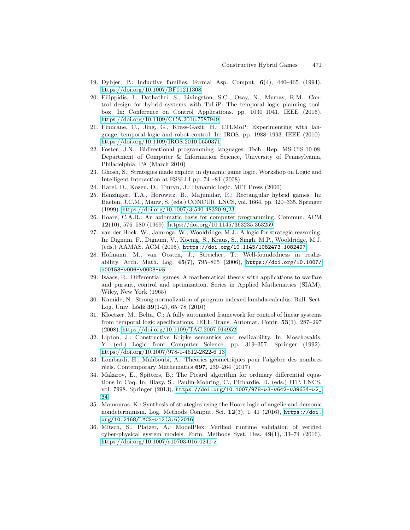- <span id="page-17-13"></span>19. Dybjer, P.: Inductive families. Formal Asp. Comput. 6(4), 440–465 (1994). <https://doi.org/10.1007/BF01211308>
- <span id="page-17-11"></span>20. Filippidis, I., Dathathri, S., Livingston, S.C., Ozay, N., Murray, R.M.: Control design for hybrid systems with TuLiP: The temporal logic planning toolbox. In: Conference on Control Applications. pp. 1030–1041. IEEE (2016). <https://doi.org/10.1109/CCA.2016.7587949>
- <span id="page-17-10"></span>21. Finucane, C., Jing, G., Kress-Gazit, H.: LTLMoP: Experimenting with language, temporal logic and robot control. In: IROS. pp. 1988–1993. IEEE (2010). <https://doi.org/10.1109/IROS.2010.5650371>
- <span id="page-17-15"></span>22. Foster, J.N.: Bidirectional programming languages. Tech. Rep. MS-CIS-10-08, Department of Computer & Information Science, University of Pennsylvania, Philadelphia, PA (March 2010)
- <span id="page-17-3"></span>23. Ghosh, S.: Strategies made explicit in dynamic game logic. Workshop on Logic and Intelligent Interaction at ESSLLI pp. 74 –81 (2008)
- <span id="page-17-14"></span>24. Harel, D., Kozen, D., Tiuryn, J.: Dynamic logic. MIT Press (2000)
- <span id="page-17-8"></span>25. Henzinger, T.A., Horowitz, B., Majumdar, R.: Rectangular hybrid games. In: Baeten, J.C.M., Mauw, S. (eds.) CONCUR. LNCS, vol. 1664, pp. 320–335. Springer (1999). [https://doi.org/10.1007/3-540-48320-9](https://doi.org/10.1007/3-540-48320-9_23) 23
- <span id="page-17-1"></span>26. Hoare, C.A.R.: An axiomatic basis for computer programming. Commun. ACM 12(10), 576–580 (1969).<https://doi.org/10.1145/363235.363259>
- <span id="page-17-2"></span>27. van der Hoek, W., Jamroga, W., Wooldridge, M.J.: A logic for strategic reasoning. In: Dignum, F., Dignum, V., Koenig, S., Kraus, S., Singh, M.P., Wooldridge, M.J. (eds.) AAMAS. ACM (2005), <https://doi.org/10.1145/1082473.1082497>
- <span id="page-17-16"></span>28. Hofmann, M., van Oosten, J., Streicher, T.: Well-foundedness in realizability. Arch. Math. Log. 45(7), 795–805 (2006), [https://doi.org/10.1007/](https://doi.org/10.1007/s00153-006-0003-5) [s00153-](https://doi.org/10.1007/s00153-006-0003-5) $\nu$ 006- $\nu$ 0003- $\nu$ 5
- <span id="page-17-12"></span>29. Isaacs, R.: Differential games: A mathematical theory with applications to warfare and pursuit, control and optimization. Series in Applied Mathematics (SIAM), Wiley, New York (1965)
- <span id="page-17-6"></span>30. Kamide, N.: Strong normalization of program-indexed lambda calculus. Bull. Sect. Log. Univ. Lódź  $39(1-2)$ , 65–78 (2010)
- <span id="page-17-9"></span>31. Kloetzer, M., Belta, C.: A fully automated framework for control of linear systems from temporal logic specifications. IEEE Trans. Automat. Contr. 53(1), 287–297 (2008).<https://doi.org/10.1109/TAC.2007.914952>
- <span id="page-17-5"></span>32. Lipton, J.: Constructive Kripke semantics and realizability. In: Moschovakis, Y. (ed.) Logic from Computer Science. pp. 319–357. Springer (1992). [https://doi.org/10.1007/978-1-4612-2822-6](https://doi.org/10.1007/978-1-4612-2822-6_13) 13
- <span id="page-17-17"></span>33. Lombardi, H., Mahboubi, A.: Théories géométriques pour l'algèbre des nombres réels. Contemporary Mathematics  $697, 239-264$  (2017)
- <span id="page-17-0"></span>34. Makarov, E., Spitters, B.: The Picard algorithm for ordinary differential equations in Coq. In: Blazy, S., Paulin-Mohring, C., Pichardie, D. (eds.) ITP. LNCS, vol. 7998. Springer (2013), [https://doi.org/10.1007/978-](https://doi.org/10.1007/978-3-642-39634-2_34)ν3-ν642-ν39634-ν2\_ [34](https://doi.org/10.1007/978-3-642-39634-2_34)
- <span id="page-17-4"></span>35. Mamouras, K.: Synthesis of strategies using the Hoare logic of angelic and demonic nondeterminism. Log. Methods Comput. Sci. 12(3), 1–41 (2016), [https://doi.](https://doi.org/10.2168/LMCS-12(3:6)2016) [org/10.2168/LMCS-](https://doi.org/10.2168/LMCS-12(3:6)2016)ν12(3:6)2016
- <span id="page-17-7"></span>36. Mitsch, S., Platzer, A.: ModelPlex: Verified runtime validation of verified cyber-physical system models. Form. Methods Syst. Des. 49(1), 33–74 (2016). <https://doi.org/10.1007/s10703-016-0241-z>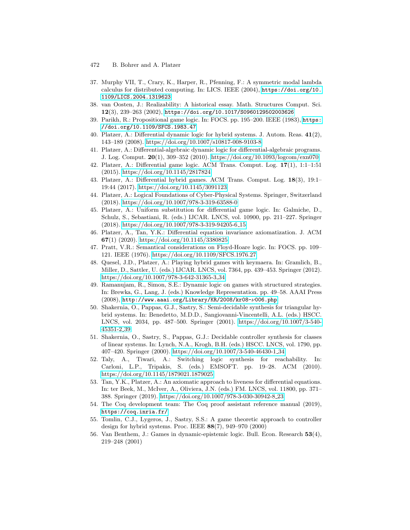- 472 B. Bohrer and A. Platzer
- <span id="page-18-7"></span>37. Murphy VII, T., Crary, K., Harper, R., Pfenning, F.: A symmetric modal lambda calculus for distributed computing. In: LICS. IEEE (2004), [https://doi.org/10.](https://doi.org/10.1109/LICS.2004.1319623) [1109/LICS.2004.1319623](https://doi.org/10.1109/LICS.2004.1319623)
- <span id="page-18-6"></span>38. van Oosten, J.: Realizability: A historical essay. Math. Structures Comput. Sci. 12(3), 239–263 (2002), <https://doi.org/10.1017/S0960129502003626>
- <span id="page-18-2"></span>39. Parikh, R.: Propositional game logic. In: FOCS. pp. 195–200. IEEE (1983), [https:](https://doi.org/10.1109/SFCS.1983.47) [//doi.org/10.1109/SFCS.1983.47](https://doi.org/10.1109/SFCS.1983.47)
- <span id="page-18-19"></span>40. Platzer, A.: Differential dynamic logic for hybrid systems. J. Autom. Reas. 41(2), 143–189 (2008).<https://doi.org/10.1007/s10817-008-9103-8>
- <span id="page-18-16"></span>41. Platzer, A.: Differential-algebraic dynamic logic for differential-algebraic programs. J. Log. Comput.  $20(1)$ , 309-352 (2010).<https://doi.org/10.1093/logcom/exn070>
- <span id="page-18-0"></span>42. Platzer, A.: Differential game logic. ACM Trans. Comput. Log. 17(1), 1:1–1:51 (2015).<https://doi.org/10.1145/2817824>
- <span id="page-18-13"></span>43. Platzer, A.: Differential hybrid games. ACM Trans. Comput. Log. 18(3), 19:1– 19:44 (2017).<https://doi.org/10.1145/3091123>
- <span id="page-18-8"></span>44. Platzer, A.: Logical Foundations of Cyber-Physical Systems. Springer, Switzerland (2018).<https://doi.org/10.1007/978-3-319-63588-0>
- <span id="page-18-18"></span>45. Platzer, A.: Uniform substitution for differential game logic. In: Galmiche, D., Schulz, S., Sebastiani, R. (eds.) IJCAR. LNCS, vol. 10900, pp. 211–227. Springer (2018). [https://doi.org/10.1007/978-3-319-94205-6](https://doi.org/10.1007/978-3-319-94205-6_15) 15
- <span id="page-18-15"></span>46. Platzer, A., Tan, Y.K.: Differential equation invariance axiomatization. J. ACM 67(1) (2020).<https://doi.org/10.1145/3380825>
- <span id="page-18-3"></span>47. Pratt, V.R.: Semantical considerations on Floyd-Hoare logic. In: FOCS. pp. 109– 121. IEEE (1976).<https://doi.org/10.1109/SFCS.1976.27>
- <span id="page-18-1"></span>48. Quesel, J.D., Platzer, A.: Playing hybrid games with keymaera. In: Gramlich, B., Miller, D., Sattler, U. (eds.) IJCAR. LNCS, vol. 7364, pp. 439–453. Springer (2012). [https://doi.org/10.1007/978-3-642-31365-3](https://doi.org/10.1007/978-3-642-31365-3_34) 34
- <span id="page-18-4"></span>49. Ramanujam, R., Simon, S.E.: Dynamic logic on games with structured strategies. In: Brewka, G., Lang, J. (eds.) Knowledge Representation. pp. 49–58. AAAI Press  $(2008)$ , [http://www.aaai.org/Library/KR/2008/kr08-](http://www.aaai.org/Library/KR/2008/kr08-006.php) $\nu$ 006.php
- <span id="page-18-11"></span>50. Shakernia, O., Pappas, G.J., Sastry, S.: Semi-decidable synthesis for triangular hybrid systems. In: Benedetto, M.D.D., Sangiovanni-Vincentelli, A.L. (eds.) HSCC. LNCS, vol. 2034, pp. 487–500. Springer (2001). [https://doi.org/10.1007/3-540-](https://doi.org/10.1007/3-540-45351-2_39) [45351-2](https://doi.org/10.1007/3-540-45351-2_39) 39
- <span id="page-18-12"></span>51. Shakernia, O., Sastry, S., Pappas, G.J.: Decidable controller synthesis for classes of linear systems. In: Lynch, N.A., Krogh, B.H. (eds.) HSCC. LNCS, vol. 1790, pp. 407–420. Springer (2000). [https://doi.org/10.1007/3-540-46430-1](https://doi.org/10.1007/3-540-46430-1_34) 34
- <span id="page-18-9"></span>52. Taly, A., Tiwari, A.: Switching logic synthesis for reachability. In: Carloni, L.P., Tripakis, S. (eds.) EMSOFT. pp. 19–28. ACM (2010). <https://doi.org/10.1145/1879021.1879025>
- <span id="page-18-17"></span>53. Tan, Y.K., Platzer, A.: An axiomatic approach to liveness for differential equations. In: ter Beek, M., McIver, A., Oliviera, J.N. (eds.) FM. LNCS, vol. 11800, pp. 371– 388. Springer (2019). [https://doi.org/10.1007/978-3-030-30942-8](https://doi.org/10.1007/978-3-030-30942-8_23) 23
- <span id="page-18-14"></span>54. The Coq development team: The Coq proof assistant reference manual (2019), <https://coq.inria.fr/>
- <span id="page-18-10"></span>55. Tomlin, C.J., Lygeros, J., Sastry, S.S.: A game theoretic approach to controller design for hybrid systems. Proc. IEEE 88(7), 949–970 (2000)
- <span id="page-18-5"></span>56. Van Benthem, J.: Games in dynamic-epistemic logic. Bull. Econ. Research 53(4), 219–248 (2001)